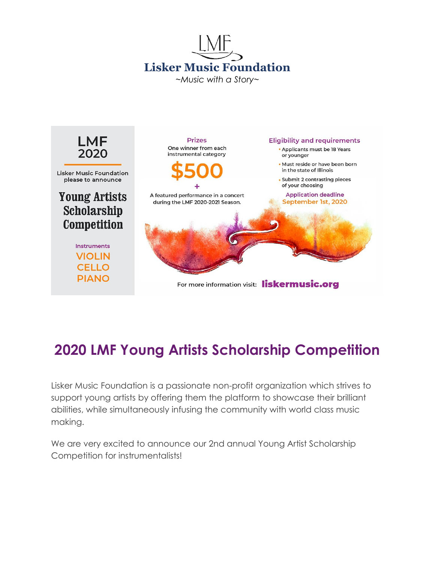



# **2020 LMF Young Artists Scholarship Competition**

Lisker Music Foundation is a passionate non-profit organization which strives to support young artists by offering them the platform to showcase their brilliant abilities, while simultaneously infusing the community with world class music making.

We are very excited to announce our 2nd annual Young Artist Scholarship Competition for instrumentalists!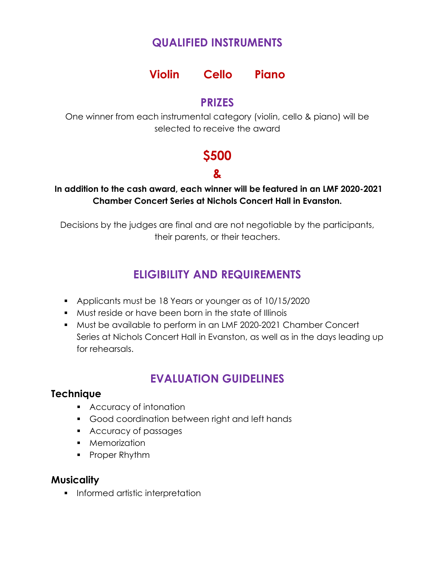### **QUALIFIED INSTRUMENTS**

### **Violin Cello Piano**

#### **PRIZES**

One winner from each instrumental category (violin, cello & piano) will be selected to receive the award

# **\$500**

## **&**

#### **In addition to the cash award, each winner will be featured in an LMF 2020-2021 Chamber Concert Series at Nichols Concert Hall in Evanston.**

Decisions by the judges are final and are not negotiable by the participants, their parents, or their teachers.

## **ELIGIBILITY AND REQUIREMENTS**

- Applicants must be 18 Years or younger as of 10/15/2020
- Must reside or have been born in the state of Illinois
- Must be available to perform in an LMF 2020-2021 Chamber Concert Series at Nichols Concert Hall in Evanston, as well as in the days leading up for rehearsals.

## **EVALUATION GUIDELINES**

#### **Technique**

- **Accuracy of intonation**
- Good coordination between right and left hands
- **Accuracy of passages**
- **Memorization**
- Proper Rhythm

#### **Musicality**

**Informed artistic interpretation**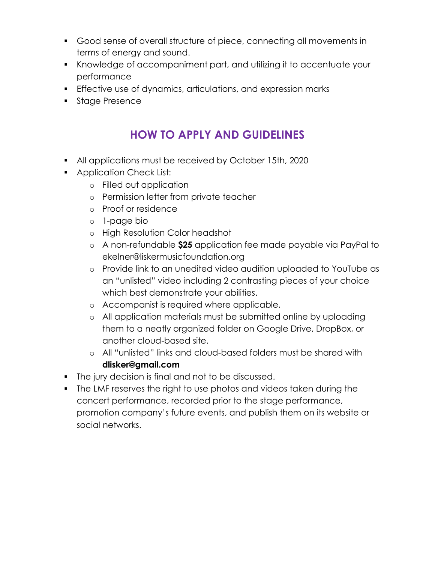- Good sense of overall structure of piece, connecting all movements in terms of energy and sound.
- Knowledge of accompaniment part, and utilizing it to accentuate your performance
- **Effective use of dynamics, articulations, and expression marks**
- **Stage Presence**

### **HOW TO APPLY AND GUIDELINES**

- All applications must be received by October 15th, 2020
- **Application Check List:** 
	- o Filled out application
	- o Permission letter from private teacher
	- o Proof or residence
	- o 1-page bio
	- o High Resolution Color headshot
	- o A non-refundable **\$25** application fee made payable via PayPal to ekelner@liskermusicfoundation.org
	- o Provide link to an unedited video audition uploaded to YouTube as an "unlisted" video including 2 contrasting pieces of your choice which best demonstrate your abilities.
	- o Accompanist is required where applicable.
	- o All application materials must be submitted online by uploading them to a neatly organized folder on Google Drive, DropBox, or another cloud-based site.
	- o All "unlisted" links and cloud-based folders must be shared with **dlisker@gmail.com**
- **The jury decision is final and not to be discussed.**
- The LMF reserves the right to use photos and videos taken during the concert performance, recorded prior to the stage performance, promotion company's future events, and publish them on its website or social networks.